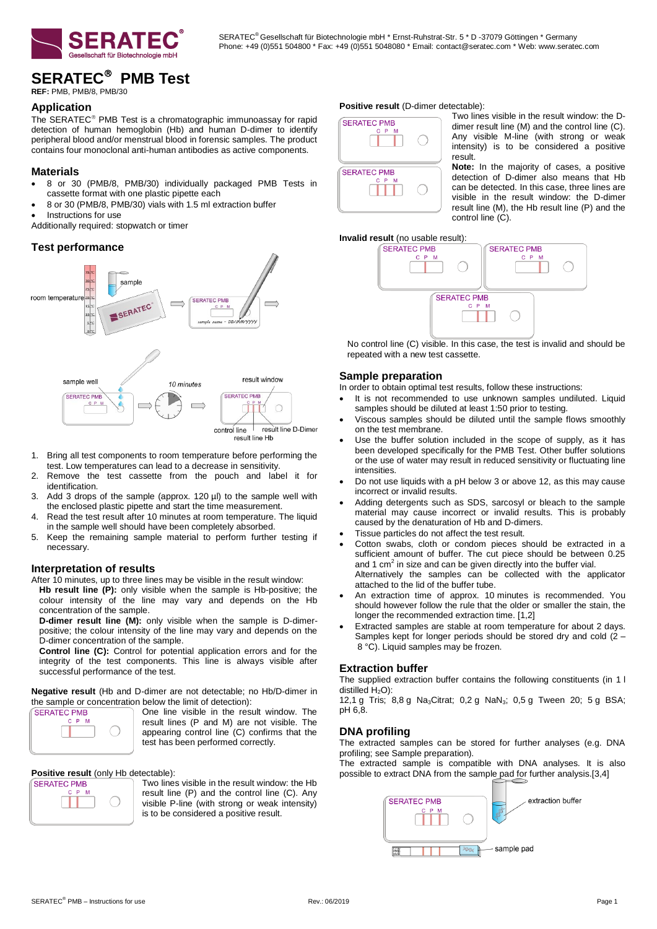

## **SERATEC PMB Test REF:** PMB, PMB/8, PMB/30

# **Application**

The SERATEC® PMB Test is a chromatographic immunoassay for rapid detection of human hemoglobin (Hb) and human D-dimer to identify peripheral blood and/or menstrual blood in forensic samples. The product contains four monoclonal anti-human antibodies as active components.

#### **Materials**

- 8 or 30 (PMB/8, PMB/30) individually packaged PMB Tests in cassette format with one plastic pipette each
- 8 or 30 (PMB/8, PMB/30) vials with 1.5 ml extraction buffer
- Instructions for use
- Additionally required: stopwatch or timer

#### **Test performance**



result line Hb

- 1. Bring all test components to room temperature before performing the test. Low temperatures can lead to a decrease in sensitivity.
- 2. Remove the test cassette from the pouch and label it for identification.
- 3. Add 3 drops of the sample (approx.  $120 \mu$ ) to the sample well with the enclosed plastic pipette and start the time measurement.
- 4. Read the test result after 10 minutes at room temperature. The liquid in the sample well should have been completely absorbed.
- 5. Keep the remaining sample material to perform further testing if necessary.

#### **Interpretation of results**

After 10 minutes, up to three lines may be visible in the result window:

**Hb result line (P):** only visible when the sample is Hb-positive; the colour intensity of the line may vary and depends on the Hb concentration of the sample.

**D-dimer result line (M):** only visible when the sample is D-dimerpositive; the colour intensity of the line may vary and depends on the D-dimer concentration of the sample.

**Control line (C):** Control for potential application errors and for the integrity of the test components. This line is always visible after successful performance of the test.

**Negative result** (Hb and D-dimer are not detectable; no Hb/D-dimer in the sample or concentration below the limit of detection):



One line visible in the result window. The result lines (P and M) are not visible. The appearing control line (C) confirms that the test has been performed correctly.

#### **Positive result** (only Hb detectable):



Two lines visible in the result window: the Hb result line (P) and the control line (C). Any visible P-line (with strong or weak intensity) is to be considered a positive result.

#### **Positive result** (D-dimer detectable):



Two lines visible in the result window: the Ddimer result line (M) and the control line (C). Any visible M-line (with strong or weak intensity) is to be considered a positive result.

**Note:** In the majority of cases, a positive detection of D-dimer also means that Hb can be detected. In this case, three lines are visible in the result window: the D-dimer result line (M), the Hb result line (P) and the control line (C).





No control line (C) visible. In this case, the test is invalid and should be repeated with a new test cassette.

#### **Sample preparation**

In order to obtain optimal test results, follow these instructions:

- It is not recommended to use unknown samples undiluted. Liquid samples should be diluted at least 1:50 prior to testing.
- Viscous samples should be diluted until the sample flows smoothly on the test membrane.
- Use the buffer solution included in the scope of supply, as it has been developed specifically for the PMB Test. Other buffer solutions or the use of water may result in reduced sensitivity or fluctuating line intensities.
- Do not use liquids with a pH below 3 or above 12, as this may cause incorrect or invalid results.
- Adding detergents such as SDS, sarcosyl or bleach to the sample material may cause incorrect or invalid results. This is probably caused by the denaturation of Hb and D-dimers.
- Tissue particles do not affect the test result.
- Cotton swabs, cloth or condom pieces should be extracted in a sufficient amount of buffer. The cut piece should be between 0.25 and 1  $\text{cm}^2$  in size and can be given directly into the buffer vial. Alternatively the samples can be collected with the applicator attached to the lid of the buffer tube.
- An extraction time of approx. 10 minutes is recommended. You should however follow the rule that the older or smaller the stain, the longer the recommended extraction time. [1,2]
- Extracted samples are stable at room temperature for about 2 days. Samples kept for longer periods should be stored dry and cold (2 – 8 °C). Liquid samples may be frozen.

#### **Extraction buffer**

The supplied extraction buffer contains the following constituents (in 1 l distilled  $H_2O$ ):

12,1 g Tris; 8,8 g Na<sub>3</sub>Citrat; 0,2 g NaN<sub>3</sub>; 0,5 g Tween 20; 5 g BSA; pH 6,8.

#### **DNA profiling**

The extracted samples can be stored for further analyses (e.g. DNA profiling; see Sample preparation).

The extracted sample is compatible with DNA analyses. It is also possible to extract DNA from the sample pad for further analysis.[3,4]